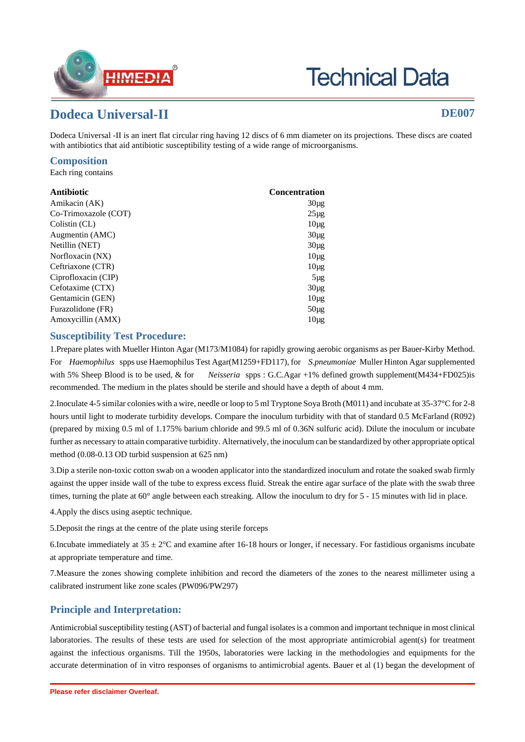

# **Technical Data**

## **Dodeca Universal-II DE007**

Dodeca Universal -II is an inert flat circular ring having 12 discs of 6 mm diameter on its projections. These discs are coated with antibiotics that aid antibiotic susceptibility testing of a wide range of microorganisms.

#### **Composition**

Each ring contains

| Antibiotic           | <b>Concentration</b> |
|----------------------|----------------------|
| Amikacin (AK)        | $30\mu$ g            |
| Co-Trimoxazole (COT) | $25\mu$ g            |
| Colistin (CL)        | $10\mu$ g            |
| Augmentin (AMC)      | $30\mu$ g            |
| Netillin (NET)       | $30\mu$ g            |
| Norfloxacin (NX)     | $10\mu$ g            |
| Ceftriaxone (CTR)    | $10\mu$ g            |
| Ciprofloxacin (CIP)  | $5\mu$ g             |
| Cefotaxime (CTX)     | $30\mu$ g            |
| Gentamicin (GEN)     | $10\mu$ g            |
| Furazolidone (FR)    | $50\mu$ g            |
| Amoxycillin (AMX)    | $10\mu$ g            |

#### **Susceptibility Test Procedure:**

1.Prepare plates with Mueller Hinton Agar (M173/M1084) for rapidly growing aerobic organisms as per Bauer-Kirby Method. For *Haemophilus* spps use Haemophilus Test Agar(M1259+FD117), for *S.pneumoniae* Muller Hinton Agar supplemented with 5% Sheep Blood is to be used, & for *Neisseria* spps : G.C.Agar +1% defined growth supplement(M434+FD025)is recommended. The medium in the plates should be sterile and should have a depth of about 4 mm.

2.Inoculate 4-5 similar colonies with a wire, needle or loop to 5 ml Tryptone Soya Broth (M011) and incubate at 35-37°C for 2-8 hours until light to moderate turbidity develops. Compare the inoculum turbidity with that of standard 0.5 McFarland (R092) (prepared by mixing 0.5 ml of 1.175% barium chloride and 99.5 ml of 0.36N sulfuric acid). Dilute the inoculum or incubate further as necessary to attain comparative turbidity. Alternatively, the inoculum can be standardized by other appropriate optical method (0.08-0.13 OD turbid suspension at 625 nm)

3.Dip a sterile non-toxic cotton swab on a wooden applicator into the standardized inoculum and rotate the soaked swab firmly against the upper inside wall of the tube to express excess fluid. Streak the entire agar surface of the plate with the swab three times, turning the plate at 60° angle between each streaking. Allow the inoculum to dry for 5 - 15 minutes with lid in place.

4.Apply the discs using aseptic technique.

5.Deposit the rings at the centre of the plate using sterile forceps

6.Incubate immediately at  $35 \pm 2$ °C and examine after 16-18 hours or longer, if necessary. For fastidious organisms incubate at appropriate temperature and time.

7.Measure the zones showing complete inhibition and record the diameters of the zones to the nearest millimeter using a calibrated instrument like zone scales (PW096/PW297)

### **Principle and Interpretation:**

Antimicrobial susceptibility testing (AST) of bacterial and fungal isolates is a common and important technique in most clinical laboratories. The results of these tests are used for selection of the most appropriate antimicrobial agent(s) for treatment against the infectious organisms. Till the 1950s, laboratories were lacking in the methodologies and equipments for the accurate determination of in vitro responses of organisms to antimicrobial agents. Bauer et al (1) began the development of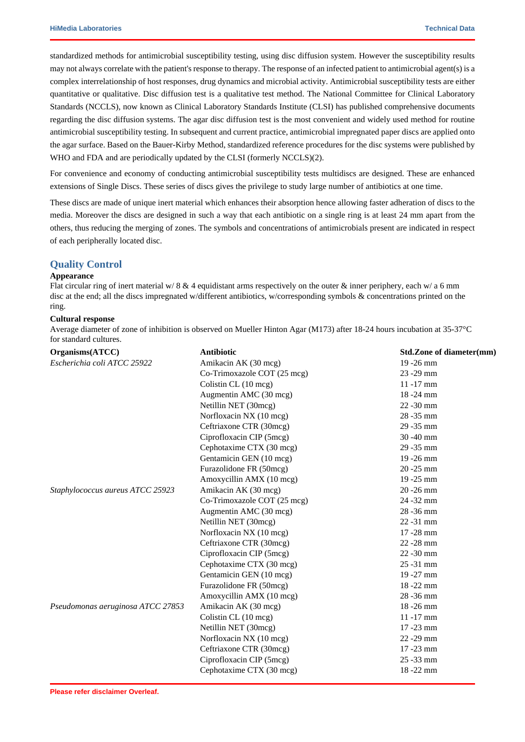standardized methods for antimicrobial susceptibility testing, using disc diffusion system. However the susceptibility results may not always correlate with the patient's response to therapy. The response of an infected patient to antimicrobial agent(s) is a complex interrelationship of host responses, drug dynamics and microbial activity. Antimicrobial susceptibility tests are either quantitative or qualitative. Disc diffusion test is a qualitative test method. The National Committee for Clinical Laboratory Standards (NCCLS), now known as Clinical Laboratory Standards Institute (CLSI) has published comprehensive documents regarding the disc diffusion systems. The agar disc diffusion test is the most convenient and widely used method for routine antimicrobial susceptibility testing. In subsequent and current practice, antimicrobial impregnated paper discs are applied onto the agar surface. Based on the Bauer-Kirby Method, standardized reference procedures for the disc systems were published by WHO and FDA and are periodically updated by the CLSI (formerly NCCLS)(2).

For convenience and economy of conducting antimicrobial susceptibility tests multidiscs are designed. These are enhanced extensions of Single Discs. These series of discs gives the privilege to study large number of antibiotics at one time.

These discs are made of unique inert material which enhances their absorption hence allowing faster adheration of discs to the media. Moreover the discs are designed in such a way that each antibiotic on a single ring is at least 24 mm apart from the others, thus reducing the merging of zones. The symbols and concentrations of antimicrobials present are indicated in respect of each peripherally located disc.

#### **Quality Control**

#### **Appearance**

Flat circular ring of inert material w/  $8 \& 4$  equidistant arms respectively on the outer  $\&$  inner periphery, each w/ a 6 mm disc at the end; all the discs impregnated w/different antibiotics, w/corresponding symbols & concentrations printed on the ring.

#### **Cultural response**

Average diameter of zone of inhibition is observed on Mueller Hinton Agar (M173) after 18-24 hours incubation at 35-37°C for standard cultures.

| Organisms(ATCC)                   | <b>Antibiotic</b>           | Std.Zone of diameter(mm) |
|-----------------------------------|-----------------------------|--------------------------|
| Escherichia coli ATCC 25922       | Amikacin AK (30 mcg)        | 19-26 mm                 |
|                                   | Co-Trimoxazole COT (25 mcg) | 23 - 29 mm               |
|                                   | Colistin CL (10 mcg)        | $11 - 17$ mm             |
|                                   | Augmentin AMC (30 mcg)      | $18 - 24$ mm             |
|                                   | Netillin NET (30mcg)        | $22 - 30$ mm             |
|                                   | Norfloxacin NX (10 mcg)     | 28 - 35 mm               |
|                                   | Ceftriaxone CTR (30mcg)     | 29 - 35 mm               |
|                                   | Ciprofloxacin CIP (5mcg)    | $30 - 40$ mm             |
|                                   | Cephotaxime CTX (30 mcg)    | 29 - 35 mm               |
|                                   | Gentamicin GEN (10 mcg)     | 19 - 26 mm               |
|                                   | Furazolidone FR (50mcg)     | $20 - 25$ mm             |
|                                   | Amoxycillin AMX (10 mcg)    | $19 - 25$ mm             |
| Staphylococcus aureus ATCC 25923  | Amikacin AK (30 mcg)        | 20 - 26 mm               |
|                                   | Co-Trimoxazole COT (25 mcg) | 24 - 32 mm               |
|                                   | Augmentin AMC (30 mcg)      | 28 - 36 mm               |
|                                   | Netillin NET (30mcg)        | $22 - 31$ mm             |
|                                   | Norfloxacin NX (10 mcg)     | $17 - 28$ mm             |
|                                   | Ceftriaxone CTR (30mcg)     | $22 - 28$ mm             |
|                                   | Ciprofloxacin CIP (5mcg)    | $22 - 30$ mm             |
|                                   | Cephotaxime CTX (30 mcg)    | $25 - 31$ mm             |
|                                   | Gentamicin GEN (10 mcg)     | 19-27 mm                 |
|                                   | Furazolidone FR (50mcg)     | $18 - 22$ mm             |
|                                   | Amoxycillin AMX (10 mcg)    | 28 - 36 mm               |
| Pseudomonas aeruginosa ATCC 27853 | Amikacin AK (30 mcg)        | 18-26 mm                 |
|                                   | Colistin CL (10 mcg)        | $11 - 17$ mm             |
|                                   | Netillin NET (30mcg)        | $17 - 23$ mm             |
|                                   | Norfloxacin NX (10 mcg)     | $22 - 29$ mm             |
|                                   | Ceftriaxone CTR (30mcg)     | 17-23 mm                 |
|                                   | Ciprofloxacin CIP (5mcg)    | 25 - 33 mm               |
|                                   | Cephotaxime CTX (30 mcg)    | 18-22 mm                 |
|                                   |                             |                          |